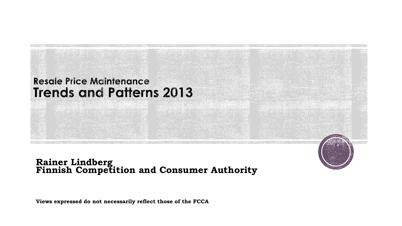

## **Rainer Lindberg Finnish Competition and Consumer Authority**

**Views expressed do not necessarily reflect those of the FCCA**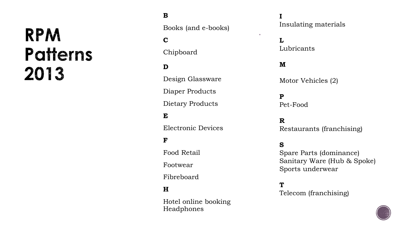## **RPM Patterns** 2013

## **B**

Books (and e-books)

### **C**

Chipboard

### **D**

Design Glassware Diaper Products Dietary Products

#### **E**

Electronic Devices

#### **F**

Food Retail

Footwear

Fibreboard

#### **H**

Hotel online booking Headphones

#### **I** Insulating materials

**L** Lubricants

### **M**

 $\mathbf{u}$  .

Motor Vehicles (2)

## **P**

Pet-Food

### **R**

Restaurants (franchising)

#### **S**

Spare Parts (dominance) Sanitary Ware (Hub & Spoke) Sports underwear

## **T**

Telecom (franchising)

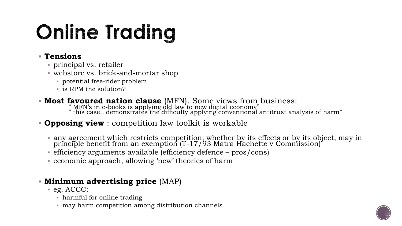## **Online Trading**

## **Tensions**

- principal vs. retailer
- webstore vs. brick-and-mortar shop
	- potential free-rider problem
	- is RPM the solution?
- **Most favoured nation clause** (MFN). Some views from business:
	- " MFN's in e-books is applying old law to new digital economy" " this case.. demonstrates the difficulty applying conventional antitrust analysis of harm"

## **Opposing view** : competition law toolkit is workable

- any agreement which restricts competition, whether by its effects or by its object, may in principle benefit from an exemption (T-17/93 Matra Hachette v Commission)
- efficiency arguments available (efficiency defence pros/cons)
- economic approach, allowing 'new' theories of harm

## **Minimum advertising price** (MAP)

- $eg.$  ACCC:
	- harmful for online trading
	- may harm competition among distribution channels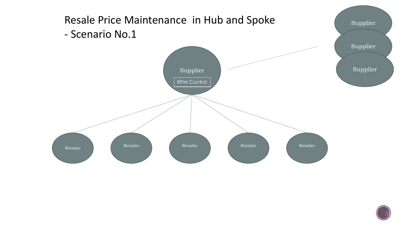

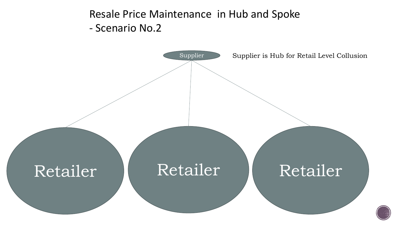Resale Price Maintenance in Hub and Spoke - Scenario No.2

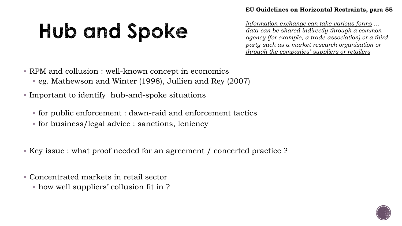## Hub and Spoke

*Information exchange can take various forms … data can be shared indirectly through a common agency (for example, a trade association) or a third party such as a market research organisation or through the companies' suppliers or retailers*

RPM and collusion : well-known concept in economics

- eg. Mathewson and Winter (1998), Jullien and Rey (2007)
- Important to identify hub-and-spoke situations
	- for public enforcement : dawn-raid and enforcement tactics
	- for business/legal advice : sanctions, leniency
- Key issue : what proof needed for an agreement / concerted practice ?
- Concentrated markets in retail sector
	- how well suppliers' collusion fit in ?